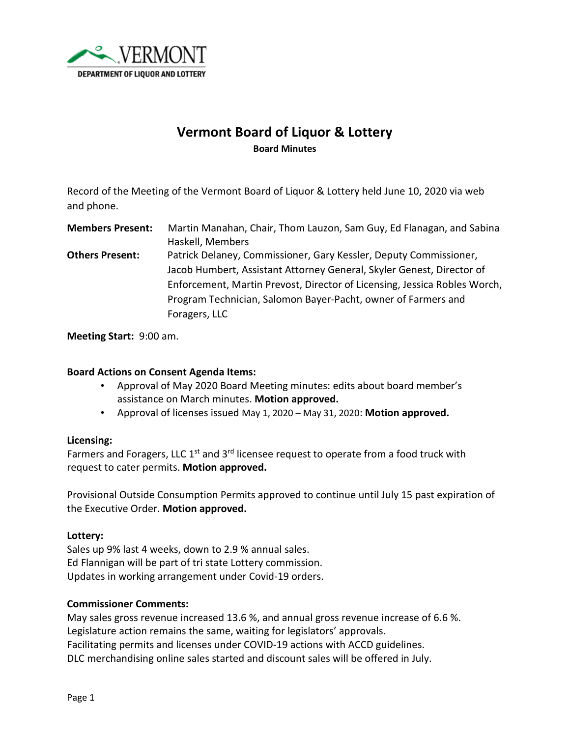

# **Vermont Board of Liquor & Lottery Board Minutes**

Record of the Meeting of the Vermont Board of Liquor & Lottery held June 10, 2020 via web and phone.

**Members Present:** Martin Manahan, Chair, Thom Lauzon, Sam Guy, Ed Flanagan, and Sabina Haskell, Members

**Others Present:** Patrick Delaney, Commissioner, Gary Kessler, Deputy Commissioner, Jacob Humbert, Assistant Attorney General, Skyler Genest, Director of Enforcement, Martin Prevost, Director of Licensing, Jessica Robles Worch, Program Technician, Salomon Bayer-Pacht, owner of Farmers and Foragers, LLC

**Meeting Start:** 9:00 am.

### **Board Actions on Consent Agenda Items:**

- Approval of May 2020 Board Meeting minutes: edits about board member's assistance on March minutes. **Motion approved.**
- Approval of licenses issued May 1, 2020 May 31, 2020: **Motion approved.**

#### **Licensing:**

Farmers and Foragers, LLC  $1<sup>st</sup>$  and  $3<sup>rd</sup>$  licensee request to operate from a food truck with request to cater permits. **Motion approved.**

Provisional Outside Consumption Permits approved to continue until July 15 past expiration of the Executive Order. **Motion approved.**

#### **Lottery:**

Sales up 9% last 4 weeks, down to 2.9 % annual sales. Ed Flannigan will be part of tri state Lottery commission. Updates in working arrangement under Covid-19 orders.

#### **Commissioner Comments:**

May sales gross revenue increased 13.6 %, and annual gross revenue increase of 6.6 %. Legislature action remains the same, waiting for legislators' approvals. Facilitating permits and licenses under COVID-19 actions with ACCD guidelines. DLC merchandising online sales started and discount sales will be offered in July.